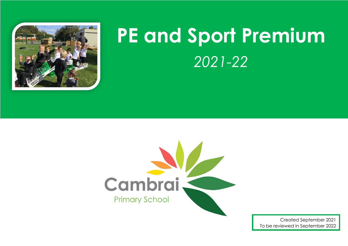

## **PE and Sport Premium** *2021-22*



Created September 2021 To be reviewed in September 2022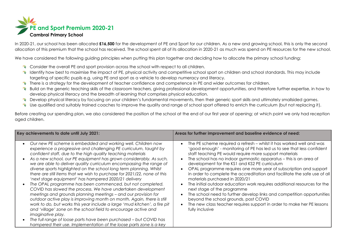

In 2020-21, our school has been allocated **£16,500** for the development of PE and Sport for our children. As a new and growing school, this is only the second allocation of this premium that the school has received. The school spent all of its allocation in 2020-21 as much was spend on PE resources for the new school.

We have considered the following quiding principles when putting this plan together and deciding how to allocate the primary school funding:

- Consider the overall PE and sport provision across the school with respect to all children.
- K Identify how best to maximise the impact of PE, physical activity and competitive school sport on children and school standards. This may include targeting of specific pupils e.g. using PE and sport as a vehicle to develop numeracy and literacy.
- There is a strategy for the development of teacher confidence and competence in PE and wider outcomes for children.
- \* Build on the generic teaching skills of the classroom teachers, giving professional development opportunities, and therefore further expertise, in how to develop physical literacy and the breadth of learning that comprises physical education.
- E Develop physical literacy by focusing on your children's fundamental movements, then their generic sport skills and ultimately smallsided games.
- Use qualified and suitably trained coaches to improve the quality and range of school sport offered to enrich the curriculum (but not replacing it).

Before creating our spending plan, we also considered the position of the school at the end of our first year of opening; at which point we only had reception aged children.

| Key achievements to date until July 2021:                                                                                                                                                                                                                                                                                                                                                                                                                                                                                                                                                                                                                                                                                                                                                                                                                                                                                                                                                                                                                                                                                                                                                                    | Areas for further improvement and baseline evidence of need:                                                                                                                                                                                                                                                                                                                                                                                                                                                                                                                                                                                                                                                                                                                                                                                  |  |  |  |  |
|--------------------------------------------------------------------------------------------------------------------------------------------------------------------------------------------------------------------------------------------------------------------------------------------------------------------------------------------------------------------------------------------------------------------------------------------------------------------------------------------------------------------------------------------------------------------------------------------------------------------------------------------------------------------------------------------------------------------------------------------------------------------------------------------------------------------------------------------------------------------------------------------------------------------------------------------------------------------------------------------------------------------------------------------------------------------------------------------------------------------------------------------------------------------------------------------------------------|-----------------------------------------------------------------------------------------------------------------------------------------------------------------------------------------------------------------------------------------------------------------------------------------------------------------------------------------------------------------------------------------------------------------------------------------------------------------------------------------------------------------------------------------------------------------------------------------------------------------------------------------------------------------------------------------------------------------------------------------------------------------------------------------------------------------------------------------------|--|--|--|--|
| Our new PE scheme is embedded and working well. Children now<br>$\bullet$<br>experience a progressive and challenging PE curriculum, taught by<br>confident staff, due to the high quality teaching materials<br>As a new school, our PE equipment has grown considerably. As such,<br>$\bullet$<br>we are able to deliver quality curriculum encompassing the range of<br>diverse sports highlighted on the school long term planning. Whilst<br>there are still items that we wish to purchase for 2021/22, none of this<br>'next stage equipment' has hampered 2020/21 delivery<br>The OPAL programme has been commenced, but not completed.<br>$\bullet$<br>COVID has slowed the process. We have undertaken development<br>meetings and grounds planning meetings - and our provision for<br>outdoor active play is improving month on month. Again, there is still<br>work to do, but works this year include a large 'mud kitchen', a fire pit<br>and 'village' zone on the school field to encourage active and<br><i>imaginative play.</i><br>The full range of loose parts have been purchased - but COVID has<br>$\bullet$<br>hampered their use. Implementation of the loose parts zone is a key | The PE scheme required a refresh - whilst it has worked well and was<br>'good enough' - monitoring of PE has led us to see that less confident<br>staff teaching PE would require more support materials<br>The school has no indoor gymnastic apparatus – this is an area of<br>development for the KS1 and KS2 PE curriculum<br>OPAL programme requires one more year of subscription and support<br>in order to complete the accreditation and facilitate the safe use of all<br>materials purchased in 2020/21<br>The initial outdoor education work requires additional resources for the<br>next stage of the programme<br>The school need to further develop links and competition opportunities<br>beyond the school grounds, post COVID<br>The new class teacher requires support in order to make her PE lessons<br>fully inclusive |  |  |  |  |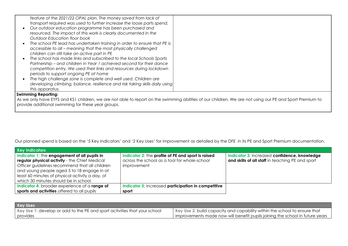| feature of the 2021/22 OPAL plan. The money saved from lack of<br>transport required was used to further increase the loose parts spend.<br>Our outdoor education programme has been purchased and<br>resourced. The impact of this work is clearly documented in the<br>Outdoor Education floor book<br>The school PE lead has undertaken training in order to ensure that PE is<br>accessible to all - meaning that the most physically challenged<br>children can still take an active part in PE<br>The school has made links and subscribed to the local Schools Sports<br>Partnership - and children in Year 1 achieved second for their dance<br>competition entry. We used their links and resources during lockdown<br>periods to support ongoing PE at home<br>The high challenge zone is complete and well used. Children are |  |
|------------------------------------------------------------------------------------------------------------------------------------------------------------------------------------------------------------------------------------------------------------------------------------------------------------------------------------------------------------------------------------------------------------------------------------------------------------------------------------------------------------------------------------------------------------------------------------------------------------------------------------------------------------------------------------------------------------------------------------------------------------------------------------------------------------------------------------------|--|
| developing climbing, balance, resilience and risk taking skills daily using<br>this apparatus.                                                                                                                                                                                                                                                                                                                                                                                                                                                                                                                                                                                                                                                                                                                                           |  |
| <b>Swimming Reporting:</b>                                                                                                                                                                                                                                                                                                                                                                                                                                                                                                                                                                                                                                                                                                                                                                                                               |  |
| As we only have EYFS and KS1 children, we are not able to report on the swimming abilities of our children. We are not using our PE and Sport Premium to                                                                                                                                                                                                                                                                                                                                                                                                                                                                                                                                                                                                                                                                                 |  |

provide additional swimming for these year groups.

Our planned spend is based on the '5 Key Indicators' and '2 Key Uses' for improvement as detailed by the DFE in its PE and Sport Premium documentation.

| <b>Key Indicators</b>                           |                                                     |                                                  |
|-------------------------------------------------|-----------------------------------------------------|--------------------------------------------------|
| Indicator 1: the engagement of all pupils in    | Indicator 2: the profile of PE and sport is raised  | Indicator 3: increased confidence, knowledge     |
| regular physical activity - the Chief Medical   | across the school as a tool for whole-school        | and skills of all staff in teaching PE and sport |
| Officer guidelines recommend that all children  | improvement                                         |                                                  |
| and young people aged 5 to 18 engage in at      |                                                     |                                                  |
| least 60 minutes of physical activity a day, of |                                                     |                                                  |
| which 30 minutes should be in school            |                                                     |                                                  |
| Indicator 4: broader experience of a range of   | Indicator 5: increased participation in competitive |                                                  |
| sports and activities offered to all pupils     | sport                                               |                                                  |

| <b>Key Uses</b>                                                           |                                                                                |
|---------------------------------------------------------------------------|--------------------------------------------------------------------------------|
| Key Use 1: develop or add to the PE and sport activities that your school | Key Use 2: build capacity and capability within the school to ensure that      |
| provides                                                                  | I improvements made now will benefit pupils joining the school in future years |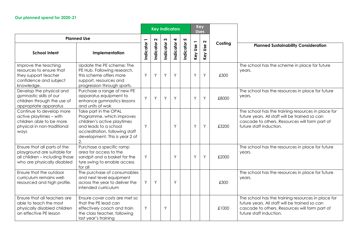|                                                                                                                              |                                                                                                                                                                                      | <b>Key Indicators</b> |           |             | <b>Key</b><br><b>Uses</b> |           |           |                   |         |                                                                                                                                                                                   |
|------------------------------------------------------------------------------------------------------------------------------|--------------------------------------------------------------------------------------------------------------------------------------------------------------------------------------|-----------------------|-----------|-------------|---------------------------|-----------|-----------|-------------------|---------|-----------------------------------------------------------------------------------------------------------------------------------------------------------------------------------|
|                                                                                                                              | <b>Planned Use</b>                                                                                                                                                                   |                       | $\sim$    |             | 4                         | 5         |           | $\mathbf{\Omega}$ |         |                                                                                                                                                                                   |
| <b>School Intent</b>                                                                                                         | Implementation                                                                                                                                                                       | Indicator             | Indicator | Indicator 3 | Indicator                 | Indicator | Key Use 1 | Use<br>Key        | Costing | <b>Planned Sustainability Consideration</b>                                                                                                                                       |
| Improve the teaching<br>resources to ensure that<br>they support teacher<br>confidence and subject<br>knowledge.             | Update the PE scheme; The<br>PE Hub. Following research,<br>this scheme offers more<br>support, resources and<br>progression through sports.                                         | Y                     | Y         | Y           | Y                         |           | Y         | Y                 | £300    | The school has the scheme in place for future<br>years.                                                                                                                           |
| Develop the physical and<br>gymnastic skills of our<br>children through the use of<br>appropriate apparatus                  | Purchase a range of new PE<br>apparatus equipment to<br>enhance gymnastics lessons<br>and units of wok                                                                               | Y                     | Y         | Y           | Y                         |           | Y         | Y                 | £8000   | The school has the resources in place for future<br>years.                                                                                                                        |
| Continue to develop more<br>active playtimes - with<br>children able to be more<br>physical in non-traditional<br>ways       | Take part in the OPAL<br>Programme, which improves<br>children's active playtimes<br>and leads to a school<br>accreditation, following staff<br>development. This is year 2 of<br>2. | Y                     |           |             | Y                         |           | Y         | Y                 | £3200   | The school has the training resources in place for<br>future years. All staff will be trained so can<br>cascade to others. Resources will form part of<br>future staff induction. |
| Ensure that all parts of the<br>playground are suitable for<br>all children - including those<br>who are physically disabled | Purchase a specific ramp<br>area for access to the<br>sandpit and a basket for the<br>tyre swing to enable access<br>for all                                                         | Y                     |           |             | Y                         |           | Y         | Y                 | £2000   | The school has the resources in place for future<br>years.                                                                                                                        |
| Ensure that the outdoor<br>curriculum remains well-<br>resourced and high profile.                                           | The purchase of consumables<br>and next level equipment<br>across the year to deliver the<br>intended curriculum                                                                     | Y                     | Y         |             | Y                         |           |           |                   | £300    | The school has the resources in place for future<br>years.                                                                                                                        |
| Ensure that all teachers are<br>able to teach the most<br>physically disabled children<br>an effective PE lesson             | Ensure cover costs are met so<br>that the PE lead can<br>effectively coach and train<br>the class teacher, following<br>last year's training                                         | Y                     |           | Y           |                           |           |           |                   | £1000   | The school has the training resources in place for<br>future years. All staff will be trained so can<br>cascade to others. Resources will form part of<br>future staff induction. |